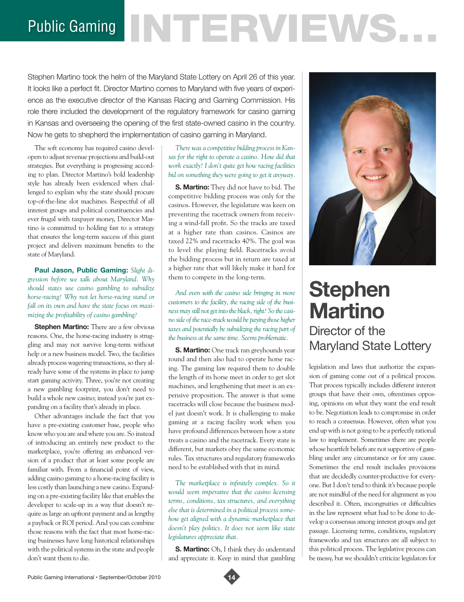# Public Gaming NTERVENS.

Stephen Martino took the helm of the Maryland State Lottery on April 26 of this year. It looks like a perfect fit. Director Martino comes to Maryland with five years of experience as the executive director of the Kansas Racing and Gaming Commission. His role there included the development of the regulatory framework for casino gaming in Kansas and overseeing the opening of the first state-owned casino in the country. Now he gets to shepherd the implementation of casino gaming in Maryland.

The soft economy has required casino developers to adjust revenue projections and build-out strategies. But everything is progressing according to plan. Director Martino's bold leadership style has already been evidenced when challenged to explain why the state should procure top-of-the-line slot machines. Respectful of all interest groups and political constituencies and ever frugal with taxpayer money, Director Martino is committed to holding fast to a strategy that ensures the long-term success of this giant project and delivers maximum benefits to the state of Maryland.

**Paul Jason, Public Gaming:** *Slight digression before we talk about Maryland. Why should states use casino gambling to subsidize horse-racing? Why not let horse-racing stand or fall on its own and have the state focus on maximizing the profitability of casino gambling?* 

**Stephen Martino:** There are a few obvious reasons. One, the horse-racing industry is struggling and may not survive long-term without help or a new business model. Two, the facilities already process wagering transactions, so they already have some of the systems in place to jump start gaming activity. Three, you're not creating a new gambling footprint, you don't need to build a whole new casino; instead you're just expanding on a facility that's already in place.

Other advantages include the fact that you have a pre-existing customer base, people who know who you are and where you are. So instead of introducing an entirely new product to the marketplace, you're offering an enhanced version of a product that at least some people are familiar with. From a financial point of view, adding casino gaming to a horse-racing facility is less costly than launching a new casino. Expanding on a pre-existing facility like that enables the developer to scale-up in a way that doesn't require as large an upfront payment and as lengthy a payback or ROI period. And you can combine those reasons with the fact that most horse-racing businesses have long historical relationships with the political systems in the state and people don't want them to die.

*There was a competitive bidding process in Kansas for the right to operate a casino. How did that work exactly? I don't quite get how racing facilities bid on something they were going to get it anyway.* 

**S. Martino:** They did not have to bid. The competitive bidding process was only for the casinos. However, the legislature was keen on preventing the racetrack owners from receiving a wind-fall profit. So the tracks are taxed at a higher rate than casinos. Casinos are taxed 22% and racetracks 40%. The goal was to level the playing field. Racetracks avoid the bidding process but in return are taxed at a higher rate that will likely make it hard for them to compete in the long-term.

*And even with the casino side bringing in more customers to the facility, the racing side of the business may still not get into the black, right? So the casino side of the race-track would be paying those higher taxes and potentially be subsidizing the racing part of the business at the same time. Seems problematic.* 

**S. Martino:** One track ran greyhounds year round and then also had to operate horse racing. The gaming law required them to double the length of its horse meet in order to get slot machines, and lengthening that meet is an expensive proposition. The answer is that some racetracks will close because the business model just doesn't work. It is challenging to make gaming at a racing facility work when you have profound differences between how a state treats a casino and the racetrack. Every state is different, but markets obey the same economic rules. Tax structures and regulatory frameworks need to be established with that in mind.

*The marketplace is infinitely complex. So it would seem imperative that the casino licensing terms, conditions, tax structures, and everything else that is determined in a political process somehow get aligned with a dynamic marketplace that doesn't play politics. It does not seem like state legislatures appreciate that.* 

**S. Martino:** Oh, I think they do understand and appreciate it. Keep in mind that gambling



## **Stephen Martino** Director of the Maryland State Lottery

legislation and laws that authorize the expansion of gaming come out of a political process. That process typically includes different interest groups that have their own, oftentimes opposing, opinions on what they want the end result to be. Negotiation leads to compromise in order to reach a consensus. However, often what you end up with is not going to be a perfectly rational law to implement. Sometimes there are people whose heartfelt beliefs are not supportive of gambling under any circumstance or for any cause. Sometimes the end result includes provisions that are decidedly counter-productive for everyone. But I don't tend to think it's because people are not mindful of the need for alignment as you described it. Often, incongruities or difficulties in the law represent what had to be done to develop a consensus among interest groups and get passage. Licensing terms, conditions, regulatory frameworks and tax structures are all subject to this political process. The legislative process can be messy, but we shouldn't criticize legislators for

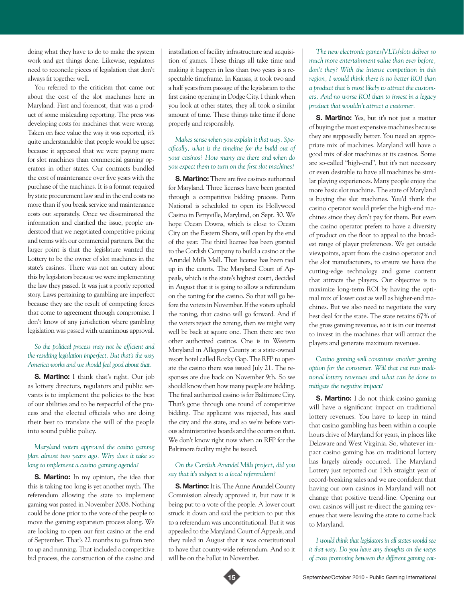doing what they have to do to make the system work and get things done. Likewise, regulators need to reconcile pieces of legislation that don't always fit together well.

You referred to the criticism that came out about the cost of the slot machines here in Maryland. First and foremost, that was a product of some misleading reporting. The press was developing costs for machines that were wrong. Taken on face value the way it was reported, it's quite understandable that people would be upset because it appeared that we were paying more for slot machines than commercial gaming operators in other states. Our contracts bundled the cost of maintenance over five years with the purchase of the machines. It is a format required by state procurement law and in the end costs no more than if you break service and maintenance costs out separately. Once we disseminated the information and clarified the issue, people understood that we negotiated competitive pricing and terms with our commercial partners. But the larger point is that the legislature wanted the Lottery to be the owner of slot machines in the state's casinos. There was not an outcry about this by legislators because we were implementing the law they passed. It was just a poorly reported story. Laws pertaining to gambling are imperfect because they are the result of competing forces that come to agreement through compromise. I don't know of any jurisdiction where gambling legislation was passed with unanimous approval.

#### *So the political process may not be efficient and the resulting legislation imperfect. But that's the way America works and we should feel good about that.*

**S. Martino:** I think that's right. Our job as lottery directors, regulators and public servants is to implement the policies to the best of our abilities and to be respectful of the process and the elected officials who are doing their best to translate the will of the people into sound public policy.

#### *Maryland voters approved the casino gaming plan almost two years ago. Why does it take so long to implement a casino gaming agenda?*

**S. Martino:** In my opinion, the idea that this is taking too long is yet another myth. The referendum allowing the state to implement gaming was passed in November 2008. Nothing could be done prior to the vote of the people to move the gaming expansion process along. We are looking to open our first casino at the end of September. That's 22 months to go from zero to up and running. That included a competitive bid process, the construction of the casino and

installation of facility infrastructure and acquisition of games. These things all take time and making it happen in less than two years is a respectable timeframe. In Kansas, it took two and a half years from passage of the legislation to the first casino opening in Dodge City. I think when you look at other states, they all took a similar amount of time. These things take time if done properly and responsibly.

*Makes sense when you explain it that way. Specifically, what is the timeline for the build out of your casinos? How many are there and when do you expect them to turn on the first slot machines?*

**S. Martino:** There are five casinos authorized for Maryland. Three licenses have been granted through a competitive bidding process. Penn National is scheduled to open its Hollywood Casino in Perryville, Maryland, on Sept. 30. We hope Ocean Downs, which is close to Ocean City on the Eastern Shore, will open by the end of the year. The third license has been granted to the Cordish Company to build a casino at the Arundel Mills Mall. That license has been tied up in the courts. The Maryland Court of Appeals, which is the state's highest court, decided in August that it is going to allow a referendum on the zoning for the casino. So that will go before the voters in November. If the voters uphold the zoning, that casino will go forward. And if the voters reject the zoning, then we might very well be back at square one. Then there are two other authorized casinos. One is in Western Maryland in Allegany County at a state-owned resort hotel called Rocky Gap. The RFP to operate the casino there was issued July 21. The responses are due back on November 9th. So we should know then how many people are bidding. The final authorized casino is for Baltimore City. That's gone through one round of competitive bidding. The applicant was rejected, has sued the city and the state, and so we're before various administrative boards and the courts on that. We don't know right now when an RFP for the Baltimore facility might be issued.

#### *On the Cordish Arundel Mills project, did you say that it's subject to a local referendum?*

**S. Martino:** It is. The Anne Arundel County Commission already approved it, but now it is being put to a vote of the people. A lower court struck it down and said the petition to put this to a referendum was unconstitutional. But it was appealed to the Maryland Court of Appeals, and they ruled in August that it was constitutional to have that county-wide referendum. And so it will be on the ballot in November.

*The new electronic games/VLTs/slots deliver so much more entertainment value than ever before, don't they? With the intense competition in this region, I would think there is no better ROI than a product that is most likely to attract the customers. And no worse ROI than to invest in a legacy product that wouldn't attract a customer.*

**S. Martino:** Yes, but it's not just a matter of buying the most expensive machines because they are supposedly better. You need an appropriate mix of machines. Maryland will have a good mix of slot machines at its casinos. Some are so-called "high-end", but it's not necessary or even desirable to have all machines be similar playing experiences. Many people enjoy the more basic slot machine. The state of Maryland is buying the slot machines. You'd think the casino operator would prefer the high-end machines since they don't pay for them. But even the casino operator prefers to have a diversity of product on the floor to appeal to the broadest range of player preferences. We get outside viewpoints, apart from the casino operator and the slot manufacturers, to ensure we have the cutting-edge technology and game content that attracts the players. Our objective is to maximize long-term ROI by having the optimal mix of lower cost as well as higher-end machines. But we also need to negotiate the very best deal for the state. The state retains 67% of the gross gaming revenue, so it is in our interest to invest in the machines that will attract the players and generate maximum revenues.

#### *Casino gaming will constitute another gaming option for the consumer. Will that cut into traditional lottery revenues and what can be done to mitigate the negative impact?*

**S. Martino:** I do not think casino gaming will have a significant impact on traditional lottery revenues. You have to keep in mind that casino gambling has been within a couple hours drive of Maryland for years, in places like Delaware and West Virginia. So, whatever impact casino gaming has on traditional lottery has largely already occurred. The Maryland Lottery just reported our 13th straight year of record-breaking sales and we are confident that having our own casinos in Maryland will not change that positive trend-line. Opening our own casinos will just re-direct the gaming revenues that were leaving the state to come back to Maryland.

*I would think that legislators in all states would see it that way. Do you have any thoughts on the ways of cross promoting between the different gaming cat-*